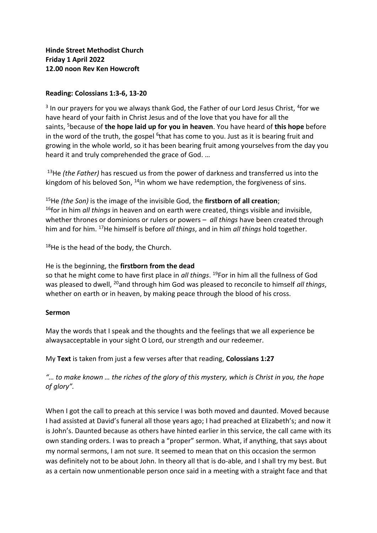## **Reading: Colossians 1:3-6, 13-20**

<sup>3</sup> In our prayers for you we always thank God, the Father of our Lord Jesus Christ, <sup>4</sup>for we have heard of your faith in Christ Jesus and of the love that you have for all the saints, <sup>5</sup>because of **the hope laid up for you in heaven**. You have heard of **this hope** before in the word of the truth, the gospel <sup>6</sup>that has come to you. Just as it is bearing fruit and growing in the whole world, so it has been bearing fruit among yourselves from the day you heard it and truly comprehended the grace of God. …

<sup>13</sup>He *(the Father)* has rescued us from the power of darkness and transferred us into the kingdom of his beloved Son,  $^{14}$ in whom we have redemption, the forgiveness of sins.

<sup>15</sup>He *(the Son)* is the image of the invisible God, the **firstborn of all creation**; <sup>16</sup>for in him *all things* in heaven and on earth were created, things visible and invisible, whether thrones or dominions or rulers or powers – *all things* have been created through him and for him. <sup>17</sup>He himself is before *all things*, and in him *all things* hold together.

 $18$ He is the head of the body, the Church.

## He is the beginning, the **firstborn from the dead**

so that he might come to have first place in *all things*. <sup>19</sup>For in him all the fullness of God was pleased to dwell, <sup>20</sup>and through him God was pleased to reconcile to himself *all things*, whether on earth or in heaven, by making peace through the blood of his cross.

## **Sermon**

May the words that I speak and the thoughts and the feelings that we all experience be alwaysacceptable in your sight O Lord, our strength and our redeemer.

My **Text** is taken from just a few verses after that reading, **Colossians 1:27**

*"… to make known … the riches of the glory of this mystery, which is Christ in you, the hope of glory".*

When I got the call to preach at this service I was both moved and daunted. Moved because I had assisted at David's funeral all those years ago; I had preached at Elizabeth's; and now it is John's. Daunted because as others have hinted earlier in this service, the call came with its own standing orders. I was to preach a "proper" sermon. What, if anything, that says about my normal sermons, I am not sure. It seemed to mean that on this occasion the sermon was definitely not to be about John. In theory all that is do-able, and I shall try my best. But as a certain now unmentionable person once said in a meeting with a straight face and that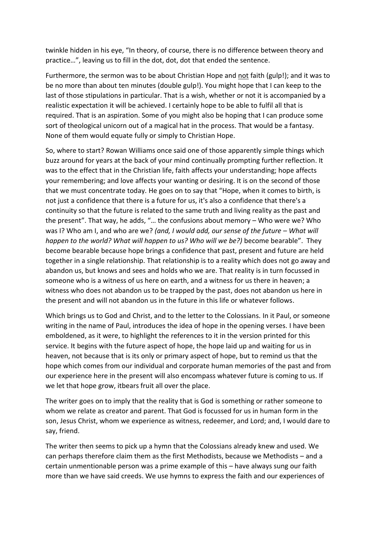twinkle hidden in his eye, "In theory, of course, there is no difference between theory and practice…", leaving us to fill in the dot, dot, dot that ended the sentence.

Furthermore, the sermon was to be about Christian Hope and not faith (gulp!); and it was to be no more than about ten minutes (double gulp!). You might hope that I can keep to the last of those stipulations in particular. That is a wish, whether or not it is accompanied by a realistic expectation it will be achieved. I certainly hope to be able to fulfil all that is required. That is an aspiration. Some of you might also be hoping that I can produce some sort of theological unicorn out of a magical hat in the process. That would be a fantasy. None of them would equate fully or simply to Christian Hope.

So, where to start? Rowan Williams once said one of those apparently simple things which buzz around for years at the back of your mind continually prompting further reflection. It was to the effect that in the Christian life, faith affects your understanding; hope affects your remembering; and love affects your wanting or desiring. It is on the second of those that we must concentrate today. He goes on to say that "Hope, when it comes to birth, is not just a confidence that there is a future for us, it's also a confidence that there's a continuity so that the future is related to the same truth and living reality as the past and the present". That way, he adds, "… the confusions about memory – Who were we? Who was I? Who am I, and who are we? *(and, I would add, our sense of the future – What will and will happen to the world? What will happen to us? Who will we be?)* become bearable". They become bearable because hope brings a confidence that past, present and future are held together in a single relationship. That relationship is to a reality which does not go away and abandon us, but knows and sees and holds who we are. That reality is in turn focussed in someone who is a witness of us here on earth, and a witness for us there in heaven; a witness who does not abandon us to be trapped by the past, does not abandon us here in the present and will not abandon us in the future in this life or whatever follows.

Which brings us to God and Christ, and to the letter to the Colossians. In it Paul, or someone writing in the name of Paul, introduces the idea of hope in the opening verses. I have been emboldened, as it were, to highlight the references to it in the version printed for this service. It begins with the future aspect of hope, the hope laid up and waiting for us in heaven, not because that is its only or primary aspect of hope, but to remind us that the hope which comes from our individual and corporate human memories of the past and from our experience here in the present will also encompass whatever future is coming to us. If we let that hope grow, itbears fruit all over the place.

The writer goes on to imply that the reality that is God is something or rather someone to whom we relate as creator and parent. That God is focussed for us in human form in the son, Jesus Christ, whom we experience as witness, redeemer, and Lord; and, I would dare to say, friend.

The writer then seems to pick up a hymn that the Colossians already knew and used. We can perhaps therefore claim them as the first Methodists, because we Methodists – and a certain unmentionable person was a prime example of this – have always sung our faith more than we have said creeds. We use hymns to express the faith and our experiences of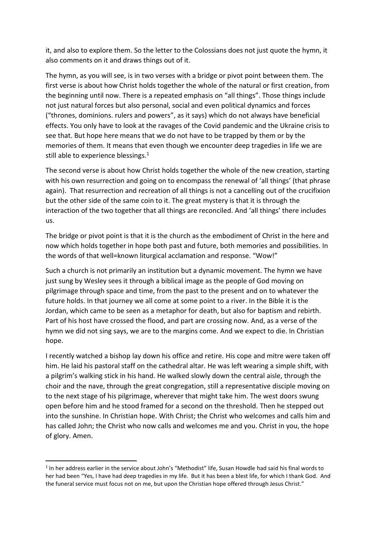it, and also to explore them. So the letter to the Colossians does not just quote the hymn, it also comments on it and draws things out of it.

The hymn, as you will see, is in two verses with a bridge or pivot point between them. The first verse is about how Christ holds together the whole of the natural or first creation, from the beginning until now. There is a repeated emphasis on "all things". Those things include not just natural forces but also personal, social and even political dynamics and forces ("thrones, dominions. rulers and powers", as it says) which do not always have beneficial effects. You only have to look at the ravages of the Covid pandemic and the Ukraine crisis to see that. But hope here means that we do not have to be trapped by them or by the memories of them. It means that even though we encounter deep tragedies in life we are still able to experience blessings.<sup>1</sup>

The second verse is about how Christ holds together the whole of the new creation, starting with his own resurrection and going on to encompass the renewal of 'all things' (that phrase again). That resurrection and recreation of all things is not a cancelling out of the crucifixion but the other side of the same coin to it. The great mystery is that it is through the interaction of the two together that all things are reconciled. And 'all things' there includes us.

The bridge or pivot point is that it is the church as the embodiment of Christ in the here and now which holds together in hope both past and future, both memories and possibilities. In the words of that well=known liturgical acclamation and response. "Wow!"

Such a church is not primarily an institution but a dynamic movement. The hymn we have just sung by Wesley sees it through a biblical image as the people of God moving on pilgrimage through space and time, from the past to the present and on to whatever the future holds. In that journey we all come at some point to a river. In the Bible it is the Jordan, which came to be seen as a metaphor for death, but also for baptism and rebirth. Part of his host have crossed the flood, and part are crossing now. And, as a verse of the hymn we did not sing says, we are to the margins come. And we expect to die. In Christian hope.

I recently watched a bishop lay down his office and retire. His cope and mitre were taken off him. He laid his pastoral staff on the cathedral altar. He was left wearing a simple shift, with a pilgrim's walking stick in his hand. He walked slowly down the central aisle, through the choir and the nave, through the great congregation, still a representative disciple moving on to the next stage of his pilgrimage, wherever that might take him. The west doors swung open before him and he stood framed for a second on the threshold. Then he stepped out into the sunshine. In Christian hope. With Christ; the Christ who welcomes and calls him and has called John; the Christ who now calls and welcomes me and you. Christ in you, the hope of glory. Amen.

**.** 

<sup>&</sup>lt;sup>1</sup> In her address earlier in the service about John's "Methodist" life, Susan Howdle had said his final words to her had been "Yes, I have had deep tragedies in my life. But it has been a blest life, for which I thank God. And the funeral service must focus not on me, but upon the Christian hope offered through Jesus Christ."